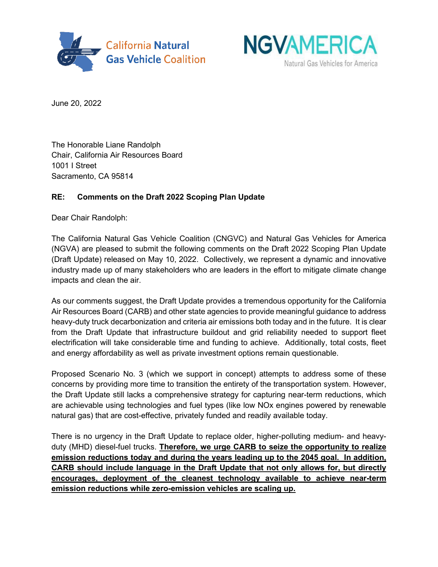



June 20, 2022

The Honorable Liane Randolph Chair, California Air Resources Board 1001 I Street Sacramento, CA 95814

# **RE: Comments on the Draft 2022 Scoping Plan Update**

Dear Chair Randolph:

The California Natural Gas Vehicle Coalition (CNGVC) and Natural Gas Vehicles for America (NGVA) are pleased to submit the following comments on the Draft 2022 Scoping Plan Update (Draft Update) released on May 10, 2022. Collectively, we represent a dynamic and innovative industry made up of many stakeholders who are leaders in the effort to mitigate climate change impacts and clean the air.

As our comments suggest, the Draft Update provides a tremendous opportunity for the California Air Resources Board (CARB) and other state agencies to provide meaningful guidance to address heavy-duty truck decarbonization and criteria air emissions both today and in the future. It is clear from the Draft Update that infrastructure buildout and grid reliability needed to support fleet electrification will take considerable time and funding to achieve. Additionally, total costs, fleet and energy affordability as well as private investment options remain questionable.

Proposed Scenario No. 3 (which we support in concept) attempts to address some of these concerns by providing more time to transition the entirety of the transportation system. However, the Draft Update still lacks a comprehensive strategy for capturing near-term reductions, which are achievable using technologies and fuel types (like low NOx engines powered by renewable natural gas) that are cost-effective, privately funded and readily available today.

There is no urgency in the Draft Update to replace older, higher-polluting medium- and heavyduty (MHD) diesel-fuel trucks. **Therefore, we urge CARB to seize the opportunity to realize emission reductions today and during the years leading up to the 2045 goal. In addition, CARB should include language in the Draft Update that not only allows for, but directly encourages, deployment of the cleanest technology available to achieve near-term emission reductions while zero-emission vehicles are scaling up.**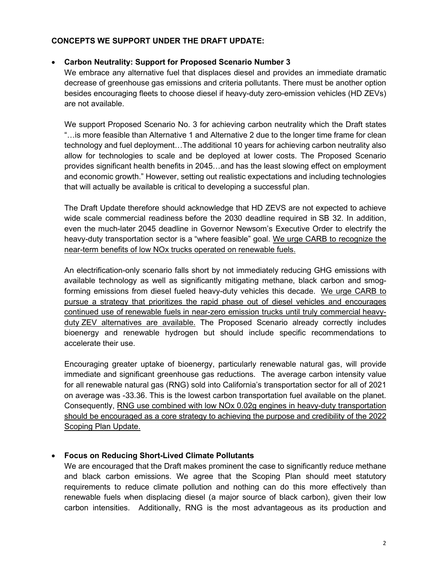### **CONCEPTS WE SUPPORT UNDER THE DRAFT UPDATE:**

### • **Carbon Neutrality: Support for Proposed Scenario Number 3**

We embrace any alternative fuel that displaces diesel and provides an immediate dramatic decrease of greenhouse gas emissions and criteria pollutants. There must be another option besides encouraging fleets to choose diesel if heavy-duty zero-emission vehicles (HD ZEVs) are not available.

We support Proposed Scenario No. 3 for achieving carbon neutrality which the Draft states "…is more feasible than Alternative 1 and Alternative 2 due to the longer time frame for clean technology and fuel deployment…The additional 10 years for achieving carbon neutrality also allow for technologies to scale and be deployed at lower costs. The Proposed Scenario provides significant health benefits in 2045…and has the least slowing effect on employment and economic growth." However, setting out realistic expectations and including technologies that will actually be available is critical to developing a successful plan.

The Draft Update therefore should acknowledge that HD ZEVS are not expected to achieve wide scale commercial readiness before the 2030 deadline required in SB 32. In addition, even the much-later 2045 deadline in Governor Newsom's Executive Order to electrify the heavy-duty transportation sector is a "where feasible" goal. We urge CARB to recognize the near-term benefits of low NOx trucks operated on renewable fuels.

An electrification-only scenario falls short by not immediately reducing GHG emissions with available technology as well as significantly mitigating methane, black carbon and smogforming emissions from diesel fueled heavy-duty vehicles this decade. We urge CARB to pursue a strategy that prioritizes the rapid phase out of diesel vehicles and encourages continued use of renewable fuels in near-zero emission trucks until truly commercial heavyduty ZEV alternatives are available. The Proposed Scenario already correctly includes bioenergy and renewable hydrogen but should include specific recommendations to accelerate their use.

Encouraging greater uptake of bioenergy, particularly renewable natural gas, will provide immediate and significant greenhouse gas reductions. The average carbon intensity value for all renewable natural gas (RNG) sold into California's transportation sector for all of 2021 on average was -33.36. This is the lowest carbon transportation fuel available on the planet. Consequently, RNG use combined with low NOx 0.02g engines in heavy-duty transportation should be encouraged as a core strategy to achieving the purpose and credibility of the 2022 Scoping Plan Update.

### • **Focus on Reducing Short-Lived Climate Pollutants**

We are encouraged that the Draft makes prominent the case to significantly reduce methane and black carbon emissions. We agree that the Scoping Plan should meet statutory requirements to reduce climate pollution and nothing can do this more effectively than renewable fuels when displacing diesel (a major source of black carbon), given their low carbon intensities. Additionally, RNG is the most advantageous as its production and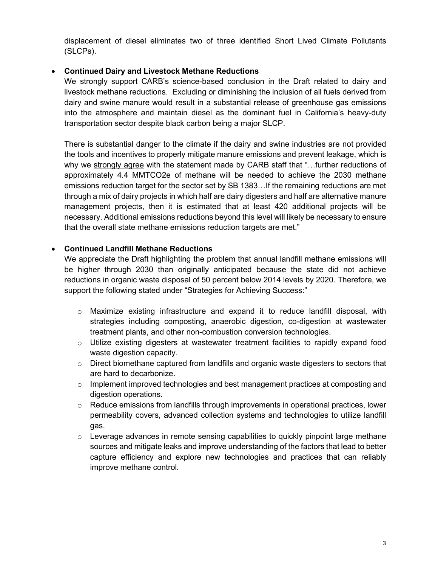displacement of diesel eliminates two of three identified Short Lived Climate Pollutants (SLCPs).

## • **Continued Dairy and Livestock Methane Reductions**

We strongly support CARB's science-based conclusion in the Draft related to dairy and livestock methane reductions. Excluding or diminishing the inclusion of all fuels derived from dairy and swine manure would result in a substantial release of greenhouse gas emissions into the atmosphere and maintain diesel as the dominant fuel in California's heavy-duty transportation sector despite black carbon being a major SLCP.

There is substantial danger to the climate if the dairy and swine industries are not provided the tools and incentives to properly mitigate manure emissions and prevent leakage, which is why we strongly agree with the statement made by CARB staff that "…further reductions of approximately 4.4 MMTCO2e of methane will be needed to achieve the 2030 methane emissions reduction target for the sector set by SB 1383…If the remaining reductions are met through a mix of dairy projects in which half are dairy digesters and half are alternative manure management projects, then it is estimated that at least 420 additional projects will be necessary. Additional emissions reductions beyond this level will likely be necessary to ensure that the overall state methane emissions reduction targets are met."

## • **Continued Landfill Methane Reductions**

We appreciate the Draft highlighting the problem that annual landfill methane emissions will be higher through 2030 than originally anticipated because the state did not achieve reductions in organic waste disposal of 50 percent below 2014 levels by 2020. Therefore, we support the following stated under "Strategies for Achieving Success:"

- o Maximize existing infrastructure and expand it to reduce landfill disposal, with strategies including composting, anaerobic digestion, co-digestion at wastewater treatment plants, and other non-combustion conversion technologies.
- o Utilize existing digesters at wastewater treatment facilities to rapidly expand food waste digestion capacity.
- $\circ$  Direct biomethane captured from landfills and organic waste digesters to sectors that are hard to decarbonize.
- $\circ$  Implement improved technologies and best management practices at composting and digestion operations.
- $\circ$  Reduce emissions from landfills through improvements in operational practices, lower permeability covers, advanced collection systems and technologies to utilize landfill gas.
- $\circ$  Leverage advances in remote sensing capabilities to quickly pinpoint large methane sources and mitigate leaks and improve understanding of the factors that lead to better capture efficiency and explore new technologies and practices that can reliably improve methane control.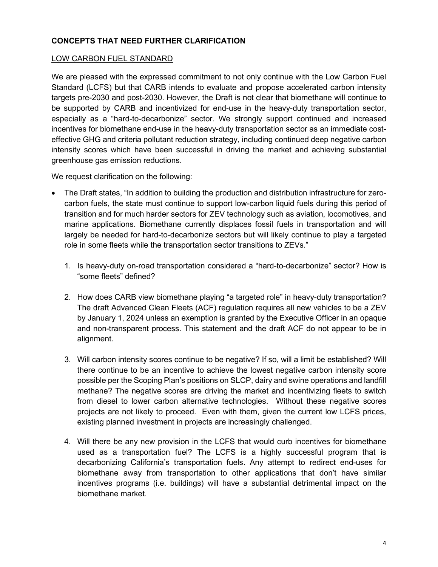## **CONCEPTS THAT NEED FURTHER CLARIFICATION**

#### LOW CARBON FUEL STANDARD

We are pleased with the expressed commitment to not only continue with the Low Carbon Fuel Standard (LCFS) but that CARB intends to evaluate and propose accelerated carbon intensity targets pre-2030 and post-2030. However, the Draft is not clear that biomethane will continue to be supported by CARB and incentivized for end-use in the heavy-duty transportation sector, especially as a "hard-to-decarbonize" sector. We strongly support continued and increased incentives for biomethane end-use in the heavy-duty transportation sector as an immediate costeffective GHG and criteria pollutant reduction strategy, including continued deep negative carbon intensity scores which have been successful in driving the market and achieving substantial greenhouse gas emission reductions.

We request clarification on the following:

- The Draft states, "In addition to building the production and distribution infrastructure for zerocarbon fuels, the state must continue to support low-carbon liquid fuels during this period of transition and for much harder sectors for ZEV technology such as aviation, locomotives, and marine applications. Biomethane currently displaces fossil fuels in transportation and will largely be needed for hard-to-decarbonize sectors but will likely continue to play a targeted role in some fleets while the transportation sector transitions to ZEVs."
	- 1. Is heavy-duty on-road transportation considered a "hard-to-decarbonize" sector? How is "some fleets" defined?
	- 2. How does CARB view biomethane playing "a targeted role" in heavy-duty transportation? The draft Advanced Clean Fleets (ACF) regulation requires all new vehicles to be a ZEV by January 1, 2024 unless an exemption is granted by the Executive Officer in an opaque and non-transparent process. This statement and the draft ACF do not appear to be in alignment.
	- 3. Will carbon intensity scores continue to be negative? If so, will a limit be established? Will there continue to be an incentive to achieve the lowest negative carbon intensity score possible per the Scoping Plan's positions on SLCP, dairy and swine operations and landfill methane? The negative scores are driving the market and incentivizing fleets to switch from diesel to lower carbon alternative technologies. Without these negative scores projects are not likely to proceed. Even with them, given the current low LCFS prices, existing planned investment in projects are increasingly challenged.
	- 4. Will there be any new provision in the LCFS that would curb incentives for biomethane used as a transportation fuel? The LCFS is a highly successful program that is decarbonizing California's transportation fuels. Any attempt to redirect end-uses for biomethane away from transportation to other applications that don't have similar incentives programs (i.e. buildings) will have a substantial detrimental impact on the biomethane market.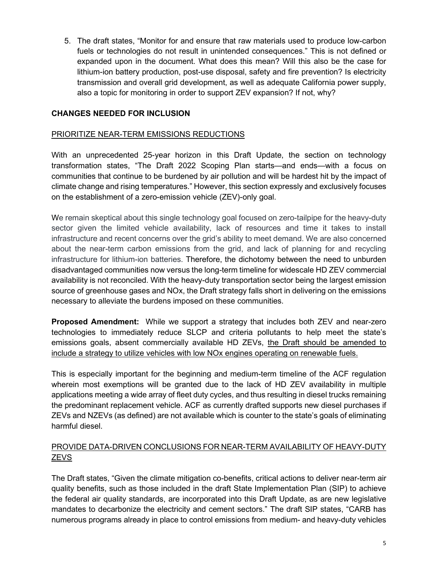5. The draft states, "Monitor for and ensure that raw materials used to produce low-carbon fuels or technologies do not result in unintended consequences." This is not defined or expanded upon in the document. What does this mean? Will this also be the case for lithium-ion battery production, post-use disposal, safety and fire prevention? Is electricity transmission and overall grid development, as well as adequate California power supply, also a topic for monitoring in order to support ZEV expansion? If not, why?

## **CHANGES NEEDED FOR INCLUSION**

### PRIORITIZE NEAR-TERM EMISSIONS REDUCTIONS

With an unprecedented 25-year horizon in this Draft Update, the section on technology transformation states, "The Draft 2022 Scoping Plan starts—and ends—with a focus on communities that continue to be burdened by air pollution and will be hardest hit by the impact of climate change and rising temperatures." However, this section expressly and exclusively focuses on the establishment of a zero-emission vehicle (ZEV)-only goal.

We remain skeptical about this single technology goal focused on zero-tailpipe for the heavy-duty sector given the limited vehicle availability, lack of resources and time it takes to install infrastructure and recent concerns over the grid's ability to meet demand. We are also concerned about the near-term carbon emissions from the grid, and lack of planning for and recycling infrastructure for lithium-ion batteries. Therefore, the dichotomy between the need to unburden disadvantaged communities now versus the long-term timeline for widescale HD ZEV commercial availability is not reconciled. With the heavy-duty transportation sector being the largest emission source of greenhouse gases and NOx, the Draft strategy falls short in delivering on the emissions necessary to alleviate the burdens imposed on these communities.

**Proposed Amendment:** While we support a strategy that includes both ZEV and near-zero technologies to immediately reduce SLCP and criteria pollutants to help meet the state's emissions goals, absent commercially available HD ZEVs, the Draft should be amended to include a strategy to utilize vehicles with low NOx engines operating on renewable fuels.

This is especially important for the beginning and medium-term timeline of the ACF regulation wherein most exemptions will be granted due to the lack of HD ZEV availability in multiple applications meeting a wide array of fleet duty cycles, and thus resulting in diesel trucks remaining the predominant replacement vehicle. ACF as currently drafted supports new diesel purchases if ZEVs and NZEVs (as defined) are not available which is counter to the state's goals of eliminating harmful diesel.

# PROVIDE DATA-DRIVEN CONCLUSIONS FOR NEAR-TERM AVAILABILITY OF HEAVY-DUTY **ZEVS**

The Draft states, "Given the climate mitigation co-benefits, critical actions to deliver near-term air quality benefits, such as those included in the draft State Implementation Plan (SIP) to achieve the federal air quality standards, are incorporated into this Draft Update, as are new legislative mandates to decarbonize the electricity and cement sectors." The draft SIP states, "CARB has numerous programs already in place to control emissions from medium- and heavy-duty vehicles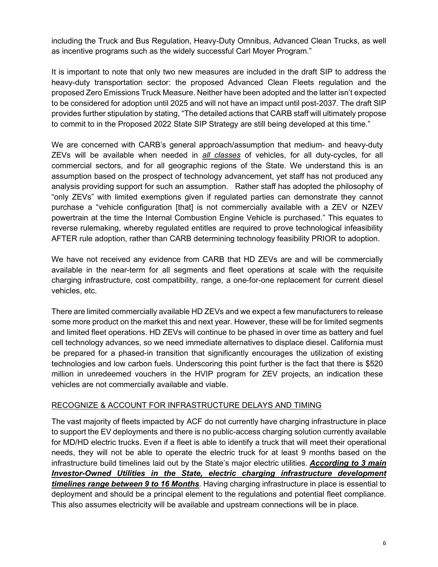including the Truck and Bus Regulation, Heavy-Duty Omnibus, Advanced Clean Trucks, as well as incentive programs such as the widely successful Carl Moyer Program."

It is important to note that only two new measures are included in the draft SIP to address the heavy-duty transportation sector: the proposed Advanced Clean Fleets regulation and the proposed Zero Emissions Truck Measure. Neither have been adopted and the latter isn't expected to be considered for adoption until 2025 and will not have an impact until post-2037. The draft SIP provides further stipulation by stating, "The detailed actions that CARB staff will ultimately propose to commit to in the Proposed 2022 State SIP Strategy are still being developed at this time."

We are concerned with CARB's general approach/assumption that medium- and heavy-duty ZEVs will be available when needed in *all classes* of vehicles, for all duty-cycles, for all commercial sectors, and for all geographic regions of the State. We understand this is an assumption based on the prospect of technology advancement, yet staff has not produced any analysis providing support for such an assumption. Rather staff has adopted the philosophy of "only ZEVs" with limited exemptions given if regulated parties can demonstrate they cannot purchase a "vehicle configuration [that] is not commercially available with a ZEV or NZEV powertrain at the time the Internal Combustion Engine Vehicle is purchased." This equates to reverse rulemaking, whereby regulated entitles are required to prove technological infeasibility AFTER rule adoption, rather than CARB determining technology feasibility PRIOR to adoption.

We have not received any evidence from CARB that HD ZEVs are and will be commercially available in the near-term for all segments and fleet operations at scale with the requisite charging infrastructure, cost compatibility, range, a one-for-one replacement for current diesel vehicles, etc.

There are limited commercially available HD ZEVs and we expect a few manufacturers to release some more product on the market this and next year. However, these will be for limited segments and limited fleet operations. HD ZEVs will continue to be phased in over time as battery and fuel cell technology advances, so we need immediate alternatives to displace diesel. California must be prepared for a phased-in transition that significantly encourages the utilization of existing technologies and low carbon fuels. Underscoring this point further is the fact that there is \$520 million in unredeemed vouchers in the HVIP program for ZEV projects, an indication these vehicles are not commercially available and viable.

### RECOGNIZE & ACCOUNT FOR INFRASTRUCTURE DELAYS AND TIMING

The vast majority of fleets impacted by ACF do not currently have charging infrastructure in place to support the EV deployments and there is no public-access charging solution currently available for MD/HD electric trucks. Even if a fleet is able to identify a truck that will meet their operational needs, they will not be able to operate the electric truck for at least 9 months based on the infrastructure build timelines laid out by the State's major electric utilities. *According to 3 main Investor-Owned Utilities in the State, electric charging infrastructure development timelines range between 9 to 16 Months*. Having charging infrastructure in place is essential to deployment and should be a principal element to the regulations and potential fleet compliance. This also assumes electricity will be available and upstream connections will be in place.